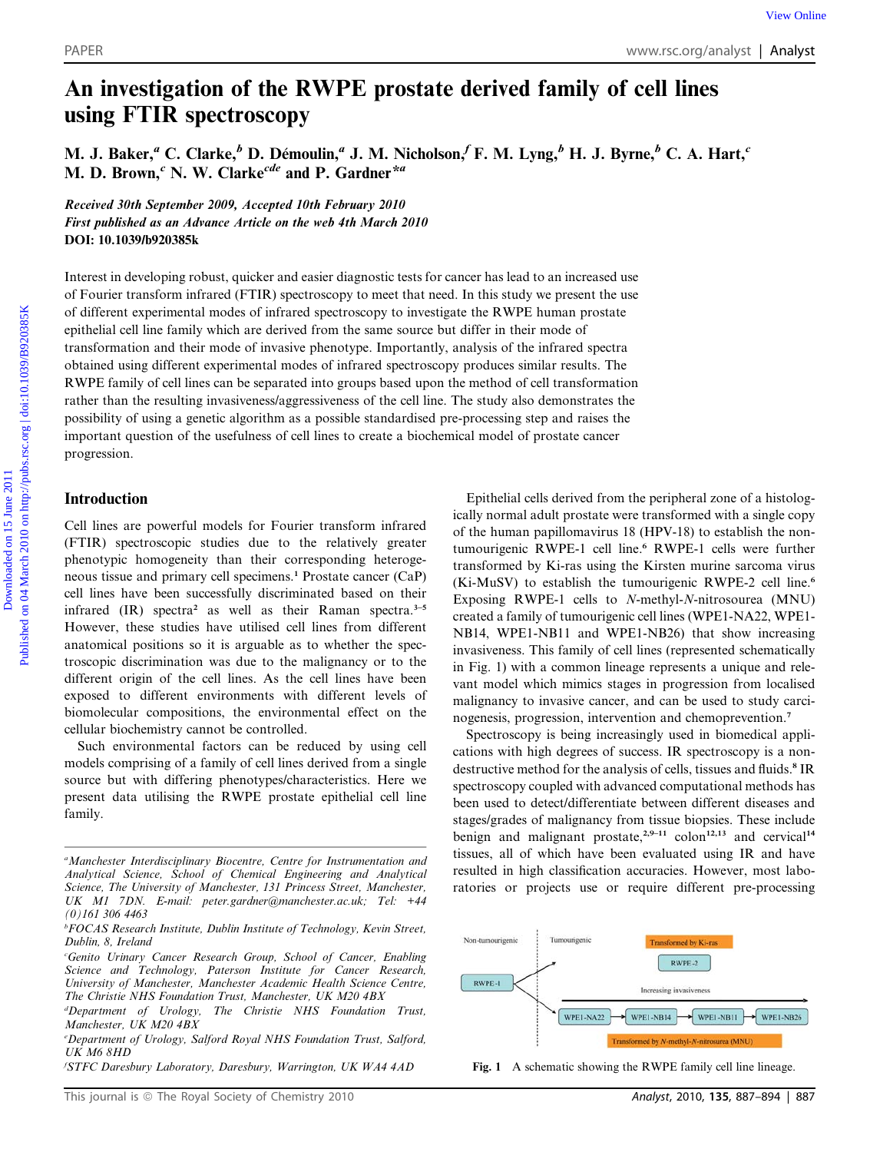# An investigation of the RWPE prostate derived family of cell lines using FTIR spectroscopy

M. J. Baker, $\phantom{i}^a$  C. Clarke, $\phantom{i}^b$  D. Démoulin, $\phantom{i}^a$  J. M. Nicholson, $\phantom{i}^f$  F. M. Lyng, $\phantom{i}^b$  H. J. Byrne, $\phantom{i}^b$  C. A. Hart, $\phantom{i}^c$ M. D. Brown,<sup>c</sup> N. W. Clarke<sup>cde</sup> and P. Gardner<sup>\*a</sup>

Received 30th September 2009, Accepted 10th February 2010 First published as an Advance Article on the web 4th March 2010 DOI: 10.1039/b920385k

Interest in developing robust, quicker and easier diagnostic tests for cancer has lead to an increased use of Fourier transform infrared (FTIR) spectroscopy to meet that need. In this study we present the use of different experimental modes of infrared spectroscopy to investigate the RWPE human prostate epithelial cell line family which are derived from the same source but differ in their mode of transformation and their mode of invasive phenotype. Importantly, analysis of the infrared spectra obtained using different experimental modes of infrared spectroscopy produces similar results. The RWPE family of cell lines can be separated into groups based upon the method of cell transformation rather than the resulting invasiveness/aggressiveness of the cell line. The study also demonstrates the possibility of using a genetic algorithm as a possible standardised pre-processing step and raises the important question of the usefulness of cell lines to create a biochemical model of prostate cancer progression. PAPER www.se.corg/analyst | Analyst **Collines** www.se.corg/analyst | Analyst **URIS PTIR Spectroscopy**<br>
M. J. Baker," C. Christe," D. Demounin," J. M. Nicholson,' F. M. Lyng," H. J. Byrne," C. A. Hart,"<br>
M. D. Brown," N. W

Cell lines are powerful models for Fourier transform infrared (FTIR) spectroscopic studies due to the relatively greater phenotypic homogeneity than their corresponding heterogeneous tissue and primary cell specimens.<sup>1</sup> Prostate cancer (CaP) cell lines have been successfully discriminated based on their infrared  $(IR)$  spectra<sup>2</sup> as well as their Raman spectra.<sup>3-5</sup> However, these studies have utilised cell lines from different anatomical positions so it is arguable as to whether the spectroscopic discrimination was due to the malignancy or to the different origin of the cell lines. As the cell lines have been exposed to different environments with different levels of biomolecular compositions, the environmental effect on the cellular biochemistry cannot be controlled.

Such environmental factors can be reduced by using cell models comprising of a family of cell lines derived from a single source but with differing phenotypes/characteristics. Here we present data utilising the RWPE prostate epithelial cell line family.

Introduction

Epithelial cells derived from the peripheral zone of a histologically normal adult prostate were transformed with a single copy of the human papillomavirus 18 (HPV-18) to establish the nontumourigenic RWPE-1 cell line.<sup>6</sup> RWPE-1 cells were further transformed by Ki-ras using the Kirsten murine sarcoma virus (Ki-MuSV) to establish the tumourigenic RWPE-2 cell line.<sup>6</sup> Exposing RWPE-1 cells to N-methyl-N-nitrosourea (MNU) created a family of tumourigenic cell lines (WPE1-NA22, WPE1- NB14, WPE1-NB11 and WPE1-NB26) that show increasing invasiveness. This family of cell lines (represented schematically in Fig. 1) with a common lineage represents a unique and relevant model which mimics stages in progression from localised malignancy to invasive cancer, and can be used to study carcinogenesis, progression, intervention and chemoprevention.<sup>7</sup>

Spectroscopy is being increasingly used in biomedical applications with high degrees of success. IR spectroscopy is a nondestructive method for the analysis of cells, tissues and fluids.<sup>8</sup> IR spectroscopy coupled with advanced computational methods has been used to detect/differentiate between different diseases and stages/grades of malignancy from tissue biopsies. These include benign and malignant prostate,<sup>2,9–11</sup> colon<sup>12,13</sup> and cervical<sup>14</sup> tissues, all of which have been evaluated using IR and have resulted in high classification accuracies. However, most laboratories or projects use or require different pre-processing



Fig. 1 A schematic showing the RWPE family cell line lineage.

<sup>&</sup>lt;sup>a</sup>Manchester Interdisciplinary Biocentre, Centre for Instrumentation and Analytical Science, School of Chemical Engineering and Analytical Science, The University of Manchester, 131 Princess Street, Manchester, UK M1 7DN. E-mail: peter.gardner@manchester.ac.uk; Tel: +44 (0)161 306 4463

**FOCAS Research Institute, Dublin Institute of Technology, Kevin Street,** Dublin, 8, Ireland

<sup>&</sup>lt;sup>c</sup>Genito Urinary Cancer Research Group, School of Cancer, Enabling Science and Technology, Paterson Institute for Cancer Research, University of Manchester, Manchester Academic Health Science Centre, The Christie NHS Foundation Trust, Manchester, UK M20 4BX

d Department of Urology, The Christie NHS Foundation Trust, Manchester, UK M20 4BX

e Department of Urology, Salford Royal NHS Foundation Trust, Salford, UK M6 8HD

f STFC Daresbury Laboratory, Daresbury, Warrington, UK WA4 4AD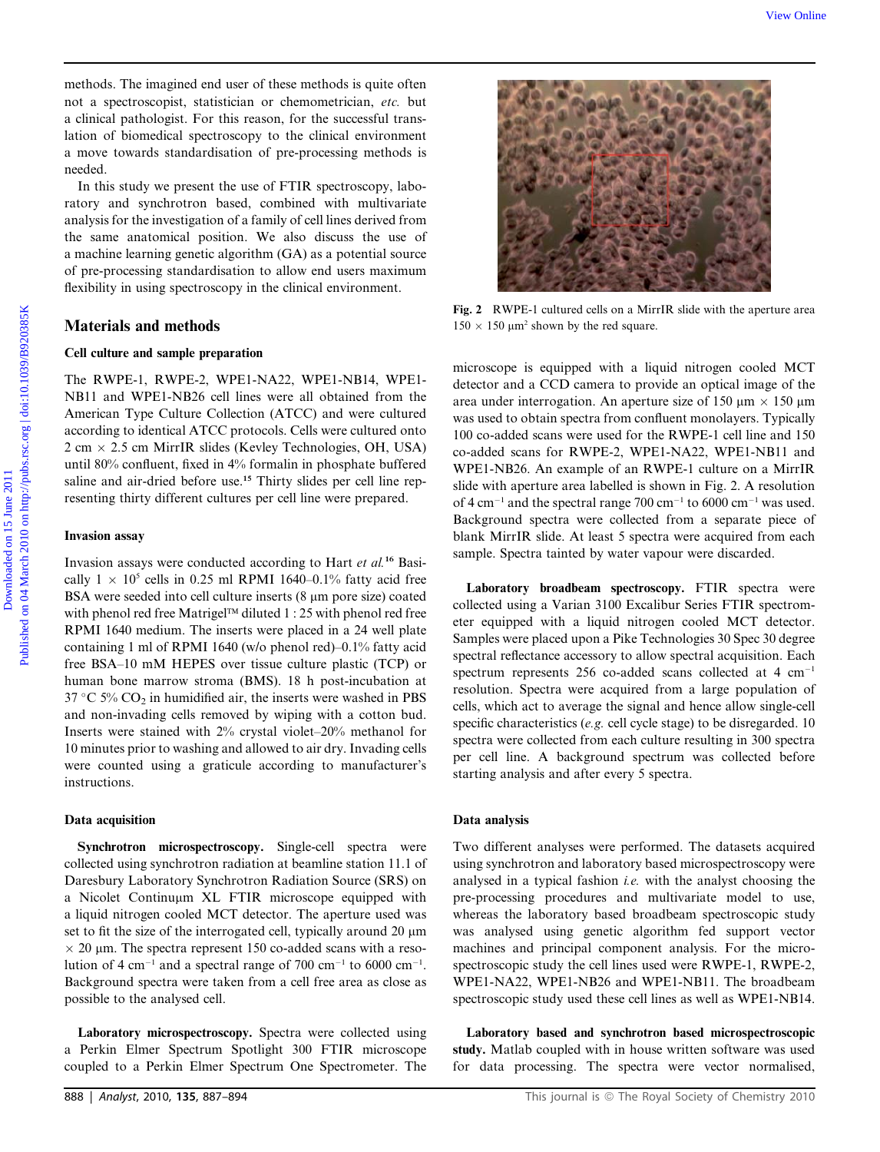methods. The imagined end user of these methods is quite often not a spectroscopist, statistician or chemometrician, etc. but a clinical pathologist. For this reason, for the successful translation of biomedical spectroscopy to the clinical environment a move towards standardisation of pre-processing methods is needed.

In this study we present the use of FTIR spectroscopy, laboratory and synchrotron based, combined with multivariate analysis for the investigation of a family of cell lines derived from the same anatomical position. We also discuss the use of a machine learning genetic algorithm (GA) as a potential source of pre-processing standardisation to allow end users maximum flexibility in using spectroscopy in the clinical environment.

# Materials and methods

## Cell culture and sample preparation

The RWPE-1, RWPE-2, WPE1-NA22, WPE1-NB14, WPE1- NB11 and WPE1-NB26 cell lines were all obtained from the American Type Culture Collection (ATCC) and were cultured according to identical ATCC protocols. Cells were cultured onto 2 cm - 2.5 cm MirrIR slides (Kevley Technologies, OH, USA) until 80% confluent, fixed in 4% formalin in phosphate buffered saline and air-dried before use.<sup>15</sup> Thirty slides per cell line representing thirty different cultures per cell line were prepared.

#### Invasion assay

Invasion assays were conducted according to Hart et al.<sup>16</sup> Basically  $1 \times 10^5$  cells in 0.25 ml RPMI 1640–0.1% fatty acid free BSA were seeded into cell culture inserts (8 µm pore size) coated with phenol red free Matrigel™ diluted 1 : 25 with phenol red free RPMI 1640 medium. The inserts were placed in a 24 well plate containing 1 ml of RPMI 1640 (w/o phenol red)–0.1% fatty acid free BSA–10 mM HEPES over tissue culture plastic (TCP) or human bone marrow stroma (BMS). 18 h post-incubation at  $37 \text{ °C}$  5%  $CO_2$  in humidified air, the inserts were washed in PBS and non-invading cells removed by wiping with a cotton bud. Inserts were stained with 2% crystal violet–20% methanol for 10 minutes prior to washing and allowed to air dry. Invading cells were counted using a graticule according to manufacturer's instructions.

### Data acquisition

Synchrotron microspectroscopy. Single-cell spectra were collected using synchrotron radiation at beamline station 11.1 of Daresbury Laboratory Synchrotron Radiation Source (SRS) on a Nicolet Continuum XL FTIR microscope equipped with a liquid nitrogen cooled MCT detector. The aperture used was set to fit the size of the interrogated cell, typically around 20  $\mu$ m  $\times$  20  $\mu$ m. The spectra represent 150 co-added scans with a resolution of 4 cm<sup>-1</sup> and a spectral range of 700 cm<sup>-1</sup> to 6000 cm<sup>-1</sup>. Background spectra were taken from a cell free area as close as possible to the analysed cell.

Laboratory microspectroscopy. Spectra were collected using a Perkin Elmer Spectrum Spotlight 300 FTIR microscope coupled to a Perkin Elmer Spectrum One Spectrometer. The



Fig. 2 RWPE-1 cultured cells on a MirrIR slide with the aperture area  $150 \times 150 \mu m^2$  shown by the red square.

microscope is equipped with a liquid nitrogen cooled MCT detector and a CCD camera to provide an optical image of the area under interrogation. An aperture size of 150  $\mu$ m  $\times$  150  $\mu$ m was used to obtain spectra from confluent monolayers. Typically 100 co-added scans were used for the RWPE-1 cell line and 150 co-added scans for RWPE-2, WPE1-NA22, WPE1-NB11 and WPE1-NB26. An example of an RWPE-1 culture on a MirrIR slide with aperture area labelled is shown in Fig. 2. A resolution of 4 cm<sup>-1</sup> and the spectral range 700 cm<sup>-1</sup> to 6000 cm<sup>-1</sup> was used. Background spectra were collected from a separate piece of blank MirrIR slide. At least 5 spectra were acquired from each sample. Spectra tainted by water vapour were discarded. Download Structure and start of these methods is quite often<br>
and a signification of boundable spectroscopy to the distinction, color based on the start<br>
in one of boundable spectroscopy to the distinction of pre-processi

Laboratory broadbeam spectroscopy. FTIR spectra were collected using a Varian 3100 Excalibur Series FTIR spectrometer equipped with a liquid nitrogen cooled MCT detector. Samples were placed upon a Pike Technologies 30 Spec 30 degree spectral reflectance accessory to allow spectral acquisition. Each spectrum represents  $256$  co-added scans collected at 4 cm<sup>-1</sup> resolution. Spectra were acquired from a large population of cells, which act to average the signal and hence allow single-cell specific characteristics (e.g. cell cycle stage) to be disregarded. 10 spectra were collected from each culture resulting in 300 spectra per cell line. A background spectrum was collected before starting analysis and after every 5 spectra.

#### Data analysis

Two different analyses were performed. The datasets acquired using synchrotron and laboratory based microspectroscopy were analysed in a typical fashion i.e. with the analyst choosing the pre-processing procedures and multivariate model to use, whereas the laboratory based broadbeam spectroscopic study was analysed using genetic algorithm fed support vector machines and principal component analysis. For the microspectroscopic study the cell lines used were RWPE-1, RWPE-2, WPE1-NA22, WPE1-NB26 and WPE1-NB11. The broadbeam spectroscopic study used these cell lines as well as WPE1-NB14.

Laboratory based and synchrotron based microspectroscopic study. Matlab coupled with in house written software was used for data processing. The spectra were vector normalised,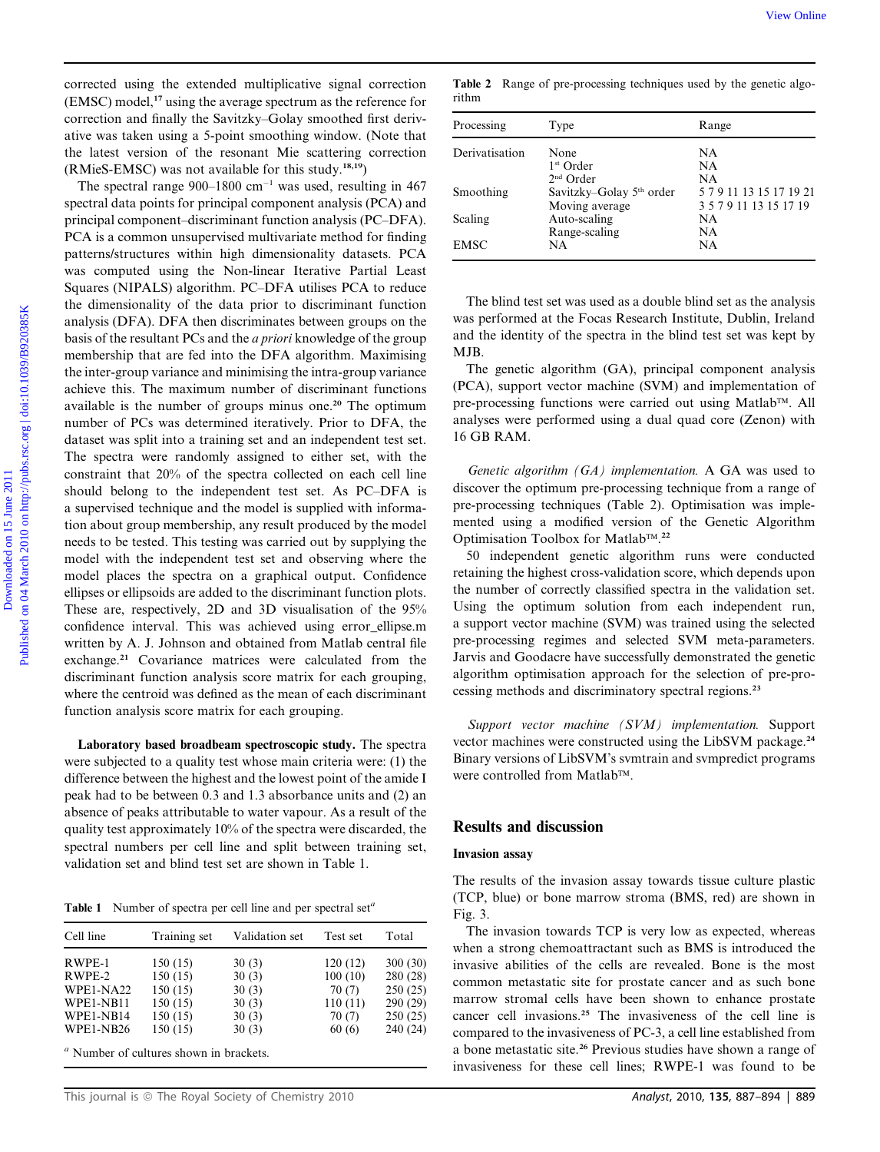corrected using the extended multiplicative signal correction (EMSC) model,<sup>17</sup> using the average spectrum as the reference for correction and finally the Savitzky–Golay smoothed first derivative was taken using a 5-point smoothing window. (Note that the latest version of the resonant Mie scattering correction  $(RMieS-EMSC)$  was not available for this study.<sup>18,19</sup>)

The spectral range  $900-1800$  cm<sup>-1</sup> was used, resulting in 467 spectral data points for principal component analysis (PCA) and principal component–discriminant function analysis (PC–DFA). PCA is a common unsupervised multivariate method for finding patterns/structures within high dimensionality datasets. PCA was computed using the Non-linear Iterative Partial Least Squares (NIPALS) algorithm. PC–DFA utilises PCA to reduce the dimensionality of the data prior to discriminant function analysis (DFA). DFA then discriminates between groups on the basis of the resultant PCs and the a priori knowledge of the group membership that are fed into the DFA algorithm. Maximising the inter-group variance and minimising the intra-group variance achieve this. The maximum number of discriminant functions available is the number of groups minus one.<sup>20</sup> The optimum number of PCs was determined iteratively. Prior to DFA, the dataset was split into a training set and an independent test set. The spectra were randomly assigned to either set, with the constraint that 20% of the spectra collected on each cell line should belong to the independent test set. As PC–DFA is a supervised technique and the model is supplied with information about group membership, any result produced by the model needs to be tested. This testing was carried out by supplying the model with the independent test set and observing where the model places the spectra on a graphical output. Confidence ellipses or ellipsoids are added to the discriminant function plots. These are, respectively, 2D and 3D visualisation of the 95% confidence interval. This was achieved using error\_ellipse.m written by A. J. Johnson and obtained from Matlab central file exchange.<sup>21</sup> Covariance matrices were calculated from the discriminant function analysis score matrix for each grouping, where the centroid was defined as the mean of each discriminant function analysis score matrix for each grouping. View Collis corrected using the retreded multiplicative signal correction **Table 2** Range of pre-processing including a solution of the material correction and fand the set of the state of the state of the state of the st

Laboratory based broadbeam spectroscopic study. The spectra were subjected to a quality test whose main criteria were: (1) the difference between the highest and the lowest point of the amide I peak had to be between 0.3 and 1.3 absorbance units and (2) an absence of peaks attributable to water vapour. As a result of the quality test approximately 10% of the spectra were discarded, the spectral numbers per cell line and split between training set, validation set and blind test set are shown in Table 1.

Table 1 Number of spectra per cell line and per spectral set $a$ 

| Cell line | Training set                                       | Validation set | Test set | Total    |
|-----------|----------------------------------------------------|----------------|----------|----------|
| RWPE-1    | 150(15)                                            | 30(3)          | 120(12)  | 300(30)  |
| RWPE-2    | 150(15)                                            | 30(3)          | 100(10)  | 280 (28) |
| WPE1-NA22 | 150(15)                                            | 30(3)          | 70 (7)   | 250(25)  |
| WPE1-NB11 | 150(15)                                            | 30(3)          | 110(11)  | 290 (29) |
| WPE1-NB14 | 150(15)                                            | 30(3)          | 70(7)    | 250(25)  |
| WPE1-NB26 | 150(15)                                            | 30(3)          | 60(6)    | 240(24)  |
|           | <sup>a</sup> Number of cultures shown in brackets. |                |          |          |

Table 2 Range of pre-processing techniques used by the genetic algorithm

| Processing     | Type                                 | Range                   |
|----------------|--------------------------------------|-------------------------|
| Derivatisation | None                                 | NA                      |
|                | 1 <sup>st</sup> Order                | <b>NA</b>               |
|                | $2nd$ Order                          | NA                      |
| Smoothing      | Savitzky-Golay 5 <sup>th</sup> order | 5 7 9 11 13 15 17 19 21 |
|                | Moving average                       | 3 5 7 9 11 13 15 17 19  |
| Scaling        | Auto-scaling                         | <b>NA</b>               |
|                | Range-scaling                        | NA                      |
| <b>EMSC</b>    | NA                                   | NA                      |

The blind test set was used as a double blind set as the analysis was performed at the Focas Research Institute, Dublin, Ireland and the identity of the spectra in the blind test set was kept by MJB.

The genetic algorithm (GA), principal component analysis (PCA), support vector machine (SVM) and implementation of pre-processing functions were carried out using Matlab™. All analyses were performed using a dual quad core (Zenon) with 16 GB RAM.

Genetic algorithm  $(GA)$  implementation. A GA was used to discover the optimum pre-processing technique from a range of pre-processing techniques (Table 2). Optimisation was implemented using a modified version of the Genetic Algorithm Optimisation Toolbox for Matlab™.<sup>22</sup>

50 independent genetic algorithm runs were conducted retaining the highest cross-validation score, which depends upon the number of correctly classified spectra in the validation set. Using the optimum solution from each independent run, a support vector machine (SVM) was trained using the selected pre-processing regimes and selected SVM meta-parameters. Jarvis and Goodacre have successfully demonstrated the genetic algorithm optimisation approach for the selection of pre-processing methods and discriminatory spectral regions.<sup>23</sup>

Support vector machine (SVM) implementation. Support vector machines were constructed using the LibSVM package.<sup>24</sup> Binary versions of LibSVM's svmtrain and svmpredict programs were controlled from Matlab<sup>TM</sup>.

# Results and discussion

#### Invasion assay

The results of the invasion assay towards tissue culture plastic (TCP, blue) or bone marrow stroma (BMS, red) are shown in Fig. 3.

The invasion towards TCP is very low as expected, whereas when a strong chemoattractant such as BMS is introduced the invasive abilities of the cells are revealed. Bone is the most common metastatic site for prostate cancer and as such bone marrow stromal cells have been shown to enhance prostate cancer cell invasions.<sup>25</sup> The invasiveness of the cell line is compared to the invasiveness of PC-3, a cell line established from a bone metastatic site.<sup>26</sup> Previous studies have shown a range of invasiveness for these cell lines; RWPE-1 was found to be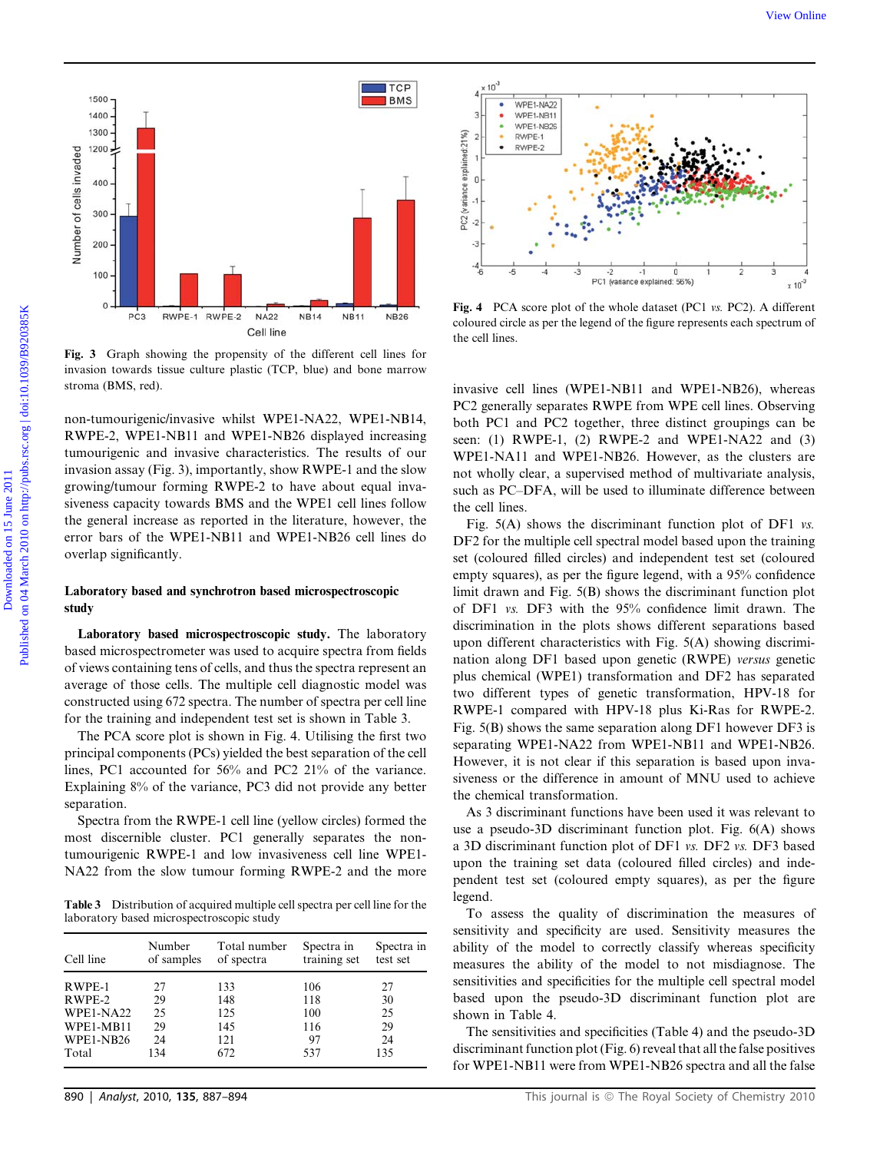

Fig. 3 Graph showing the propensity of the different cell lines for invasion towards tissue culture plastic (TCP, blue) and bone marrow stroma (BMS, red).

non-tumourigenic/invasive whilst WPE1-NA22, WPE1-NB14, RWPE-2, WPE1-NB11 and WPE1-NB26 displayed increasing tumourigenic and invasive characteristics. The results of our invasion assay (Fig. 3), importantly, show RWPE-1 and the slow growing/tumour forming RWPE-2 to have about equal invasiveness capacity towards BMS and the WPE1 cell lines follow the general increase as reported in the literature, however, the error bars of the WPE1-NB11 and WPE1-NB26 cell lines do overlap significantly.

# Laboratory based and synchrotron based microspectroscopic study

Laboratory based microspectroscopic study. The laboratory based microspectrometer was used to acquire spectra from fields of views containing tens of cells, and thus the spectra represent an average of those cells. The multiple cell diagnostic model was constructed using 672 spectra. The number of spectra per cell line for the training and independent test set is shown in Table 3.

The PCA score plot is shown in Fig. 4. Utilising the first two principal components (PCs) yielded the best separation of the cell lines, PC1 accounted for 56% and PC2 21% of the variance. Explaining 8% of the variance, PC3 did not provide any better separation.

Spectra from the RWPE-1 cell line (yellow circles) formed the most discernible cluster. PC1 generally separates the nontumourigenic RWPE-1 and low invasiveness cell line WPE1- NA22 from the slow tumour forming RWPE-2 and the more

Table 3 Distribution of acquired multiple cell spectra per cell line for the laboratory based microspectroscopic study

| Cell line        | Number<br>of samples | Total number<br>of spectra | Spectra in<br>training set | Spectra in<br>test set |
|------------------|----------------------|----------------------------|----------------------------|------------------------|
| RWPE-1           | 27                   | 133                        | 106                        | 27                     |
| RWPE-2           | 29                   | 148                        | 118                        | 30                     |
| WPE1-NA22        | 25                   | 125                        | 100                        | 25                     |
| WPE1-MB11        | 29                   | 145                        | 116                        | 29                     |
| <b>WPE1-NB26</b> | 24                   | 121                        | 97                         | 24                     |
| Total            | 134                  | 672                        | 537                        | 135                    |



Fig. 4 PCA score plot of the whole dataset (PC1 vs. PC2). A different coloured circle as per the legend of the figure represents each spectrum of the cell lines.

invasive cell lines (WPE1-NB11 and WPE1-NB26), whereas PC2 generally separates RWPE from WPE cell lines. Observing both PC1 and PC2 together, three distinct groupings can be seen: (1) RWPE-1, (2) RWPE-2 and WPE1-NA22 and (3) WPE1-NA11 and WPE1-NB26. However, as the clusters are not wholly clear, a supervised method of multivariate analysis, such as PC–DFA, will be used to illuminate difference between the cell lines.

Fig. 5(A) shows the discriminant function plot of DF1 vs. DF2 for the multiple cell spectral model based upon the training set (coloured filled circles) and independent test set (coloured empty squares), as per the figure legend, with a 95% confidence limit drawn and Fig. 5(B) shows the discriminant function plot of DF1 vs. DF3 with the 95% confidence limit drawn. The discrimination in the plots shows different separations based upon different characteristics with Fig. 5(A) showing discrimination along DF1 based upon genetic (RWPE) versus genetic plus chemical (WPE1) transformation and DF2 has separated two different types of genetic transformation, HPV-18 for RWPE-1 compared with HPV-18 plus Ki-Ras for RWPE-2. Fig. 5(B) shows the same separation along DF1 however DF3 is separating WPE1-NA22 from WPE1-NB11 and WPE1-NB26. However, it is not clear if this separation is based upon invasiveness or the difference in amount of MNU used to achieve the chemical transformation.

As 3 discriminant functions have been used it was relevant to use a pseudo-3D discriminant function plot. Fig. 6(A) shows a 3D discriminant function plot of DF1 vs. DF2 vs. DF3 based upon the training set data (coloured filled circles) and independent test set (coloured empty squares), as per the figure legend.

To assess the quality of discrimination the measures of sensitivity and specificity are used. Sensitivity measures the ability of the model to correctly classify whereas specificity measures the ability of the model to not misdiagnose. The sensitivities and specificities for the multiple cell spectral model based upon the pseudo-3D discriminant function plot are shown in Table 4.

The sensitivities and specificities (Table 4) and the pseudo-3D discriminant function plot (Fig. 6) reveal that all the false positives for WPE1-NB11 were from WPE1-NB26 spectra and all the false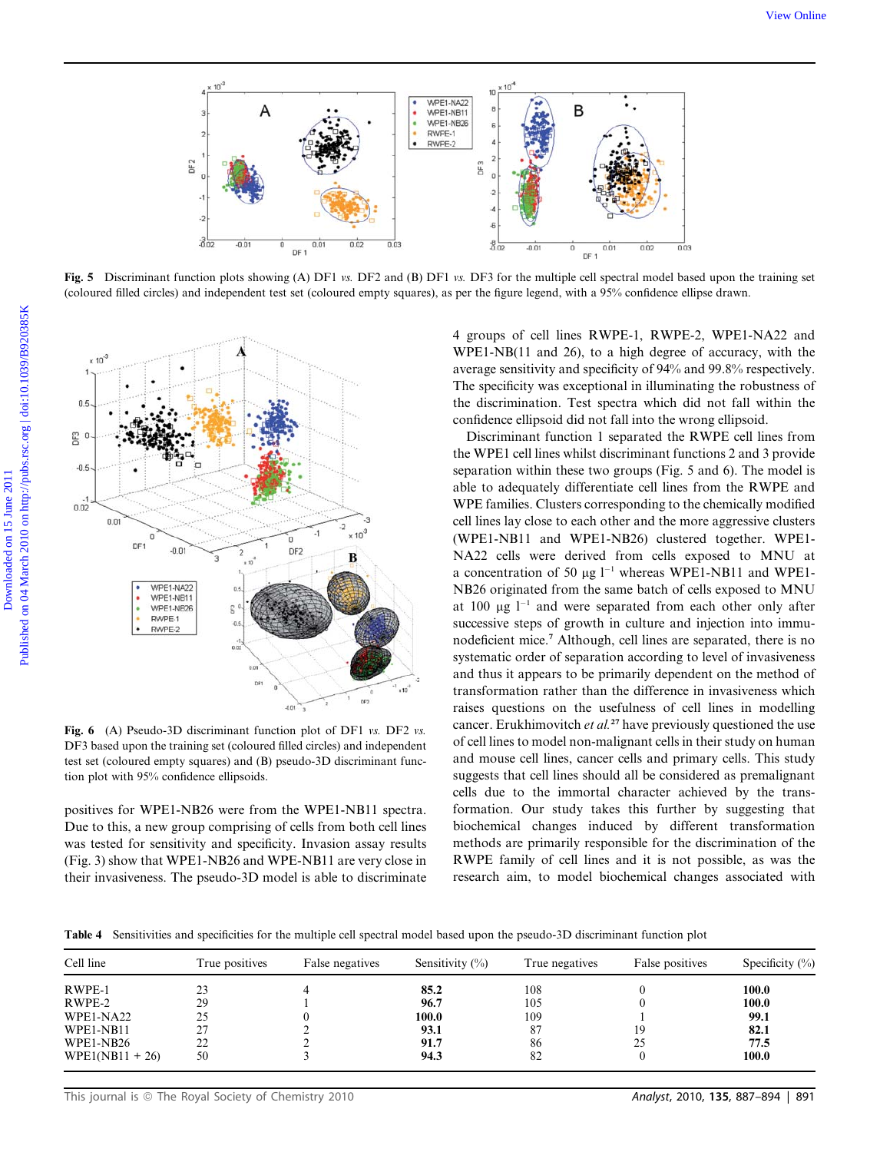

Fig. 5 Discriminant function plots showing (A) DF1 vs. DF2 and (B) DF1 vs. DF3 for the multiple cell spectral model based upon the training set (coloured filled circles) and independent test set (coloured empty squares), as per the figure legend, with a 95% confidence ellipse drawn.



Fig. 6 (A) Pseudo-3D discriminant function plot of DF1 vs. DF2 vs. DF3 based upon the training set (coloured filled circles) and independent test set (coloured empty squares) and (B) pseudo-3D discriminant function plot with 95% confidence ellipsoids.

positives for WPE1-NB26 were from the WPE1-NB11 spectra. Due to this, a new group comprising of cells from both cell lines was tested for sensitivity and specificity. Invasion assay results (Fig. 3) show that WPE1-NB26 and WPE-NB11 are very close in their invasiveness. The pseudo-3D model is able to discriminate

4 groups of cell lines RWPE-1, RWPE-2, WPE1-NA22 and WPE1-NB(11 and 26), to a high degree of accuracy, with the average sensitivity and specificity of 94% and 99.8% respectively. The specificity was exceptional in illuminating the robustness of the discrimination. Test spectra which did not fall within the confidence ellipsoid did not fall into the wrong ellipsoid.

Discriminant function 1 separated the RWPE cell lines from the WPE1 cell lines whilst discriminant functions 2 and 3 provide separation within these two groups (Fig. 5 and 6). The model is able to adequately differentiate cell lines from the RWPE and WPE families. Clusters corresponding to the chemically modified cell lines lay close to each other and the more aggressive clusters (WPE1-NB11 and WPE1-NB26) clustered together. WPE1- NA22 cells were derived from cells exposed to MNU at a concentration of 50  $\mu$ g l<sup>-1</sup> whereas WPE1-NB11 and WPE1-NB26 originated from the same batch of cells exposed to MNU at 100  $\mu$ g l<sup>-1</sup> and were separated from each other only after successive steps of growth in culture and injection into immunodeficient mice.<sup>7</sup> Although, cell lines are separated, there is no systematic order of separation according to level of invasiveness and thus it appears to be primarily dependent on the method of transformation rather than the difference in invasiveness which raises questions on the usefulness of cell lines in modelling cancer. Erukhimovitch et al.<sup>27</sup> have previously questioned the use of cell lines to model non-malignant cells in their study on human and mouse cell lines, cancer cells and primary cells. This study suggests that cell lines should all be considered as premalignant cells due to the immortal character achieved by the transformation. Our study takes this further by suggesting that biochemical changes induced by different transformation methods are primarily responsible for the discrimination of the RWPE family of cell lines and it is not possible, as was the research aim, to model biochemical changes associated with

Table 4 Sensitivities and specificities for the multiple cell spectral model based upon the pseudo-3D discriminant function plot

| Cell line         | True positives | False negatives | Sensitivity $(\%)$ | True negatives | False positives | Specificity $(\%)$ |
|-------------------|----------------|-----------------|--------------------|----------------|-----------------|--------------------|
| RWPE-1            |                |                 | 85.2               | 108            |                 | 100.0              |
| RWPE-2            | 29             |                 | 96.7               | 105            |                 | 100.0              |
| WPE1-NA22         | 25             |                 | 100.0              | 109            |                 | 99.1               |
| WPE1-NB11         |                |                 | 93.1               | 87             | 19              | 82.1               |
| WPE1-NB26         | 22             |                 | 91.7               | 86             | 25              | 77.5               |
| $WPE1(NB11 + 26)$ | 50             |                 | 94.3               | 82             |                 | 100.0              |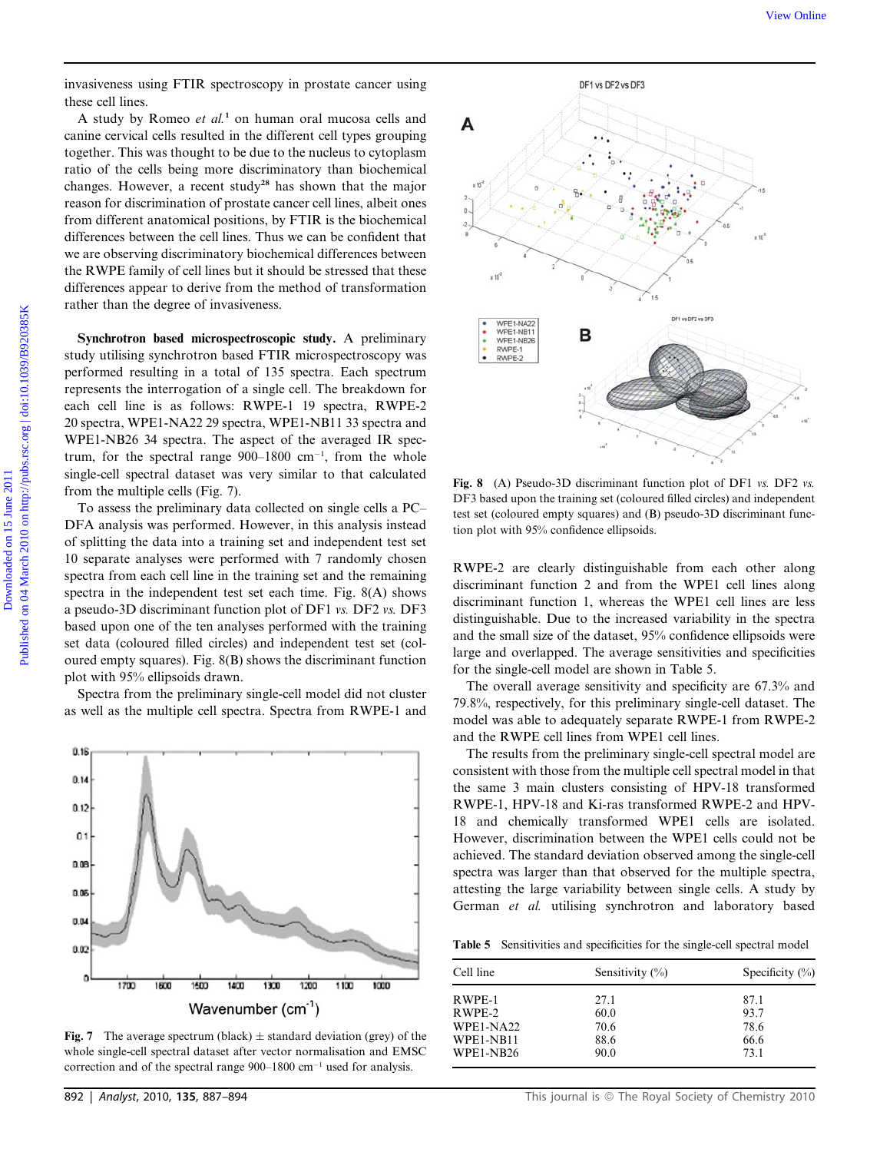invasiveness using FTIR spectroscopy in prostate cancer using these cell lines.

A study by Romeo  $et$   $al$ <sup>1</sup> on human oral mucosa cells and canine cervical cells resulted in the different cell types grouping together. This was thought to be due to the nucleus to cytoplasm ratio of the cells being more discriminatory than biochemical changes. However, a recent study<sup>28</sup> has shown that the major reason for discrimination of prostate cancer cell lines, albeit ones from different anatomical positions, by FTIR is the biochemical differences between the cell lines. Thus we can be confident that we are observing discriminatory biochemical differences between the RWPE family of cell lines but it should be stressed that these differences appear to derive from the method of transformation rather than the degree of invasiveness.

Synchrotron based microspectroscopic study. A preliminary study utilising synchrotron based FTIR microspectroscopy was performed resulting in a total of 135 spectra. Each spectrum represents the interrogation of a single cell. The breakdown for each cell line is as follows: RWPE-1 19 spectra, RWPE-2 20 spectra, WPE1-NA22 29 spectra, WPE1-NB11 33 spectra and WPE1-NB26 34 spectra. The aspect of the averaged IR spectrum, for the spectral range  $900-1800$  cm<sup>-1</sup>, from the whole single-cell spectral dataset was very similar to that calculated from the multiple cells (Fig. 7).

To assess the preliminary data collected on single cells a PC– DFA analysis was performed. However, in this analysis instead of splitting the data into a training set and independent test set 10 separate analyses were performed with 7 randomly chosen spectra from each cell line in the training set and the remaining spectra in the independent test set each time. Fig. 8(A) shows a pseudo-3D discriminant function plot of DF1 vs. DF2 vs. DF3 based upon one of the ten analyses performed with the training set data (coloured filled circles) and independent test set (coloured empty squares). Fig. 8(B) shows the discriminant function plot with 95% ellipsoids drawn.

Spectra from the preliminary single-cell model did not cluster as well as the multiple cell spectra. Spectra from RWPE-1 and







Fig. 8 (A) Pseudo-3D discriminant function plot of DF1 vs. DF2 vs. DF3 based upon the training set (coloured filled circles) and independent test set (coloured empty squares) and (B) pseudo-3D discriminant function plot with 95% confidence ellipsoids.

RWPE-2 are clearly distinguishable from each other along discriminant function 2 and from the WPE1 cell lines along discriminant function 1, whereas the WPE1 cell lines are less distinguishable. Due to the increased variability in the spectra and the small size of the dataset, 95% confidence ellipsoids were large and overlapped. The average sensitivities and specificities for the single-cell model are shown in Table 5.

The overall average sensitivity and specificity are 67.3% and 79.8%, respectively, for this preliminary single-cell dataset. The model was able to adequately separate RWPE-1 from RWPE-2 and the RWPE cell lines from WPE1 cell lines.

The results from the preliminary single-cell spectral model are consistent with those from the multiple cell spectral model in that the same 3 main clusters consisting of HPV-18 transformed RWPE-1, HPV-18 and Ki-ras transformed RWPE-2 and HPV-18 and chemically transformed WPE1 cells are isolated. However, discrimination between the WPE1 cells could not be achieved. The standard deviation observed among the single-cell spectra was larger than that observed for the multiple spectra, attesting the large variability between single cells. A study by German et al. utilising synchrotron and laboratory based

Table 5 Sensitivities and specificities for the single-cell spectral model

| Cell line        | Sensitivity $(\% )$ | Specificity $(\%)$ |
|------------------|---------------------|--------------------|
| RWPE-1           | 27.1                | 87.1               |
| RWPE-2           | 60.0                | 93.7               |
| <b>WPE1-NA22</b> | 70.6                | 78.6               |
| <b>WPE1-NB11</b> | 88.6                | 66.6               |
| WPE1-NB26        | 90.0                | 73.1               |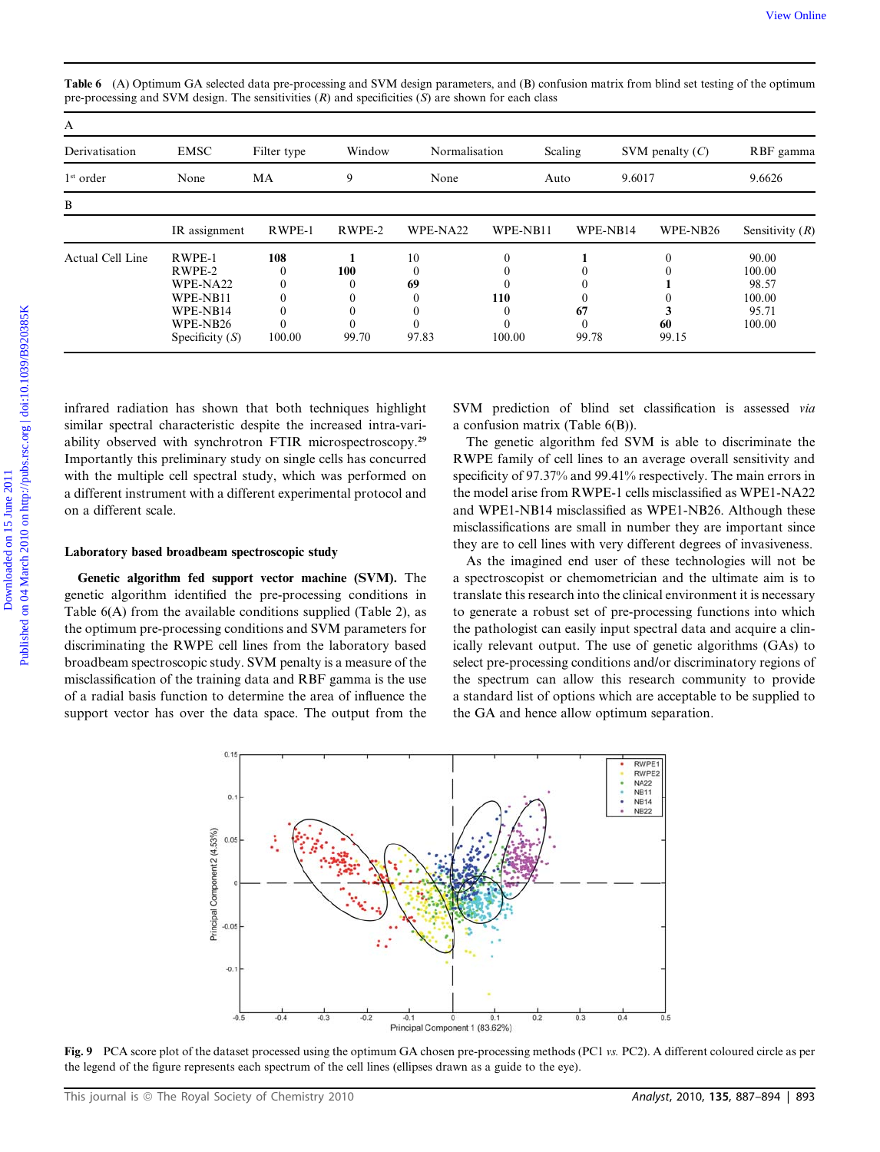| A                                                                                                                                                                                                                                                                                                                                                                                                                                              |                                                         |                                             |                                                       |                                                   |                                                  |                                             |                                                                                                                                                                                                                                                                  |                           |
|------------------------------------------------------------------------------------------------------------------------------------------------------------------------------------------------------------------------------------------------------------------------------------------------------------------------------------------------------------------------------------------------------------------------------------------------|---------------------------------------------------------|---------------------------------------------|-------------------------------------------------------|---------------------------------------------------|--------------------------------------------------|---------------------------------------------|------------------------------------------------------------------------------------------------------------------------------------------------------------------------------------------------------------------------------------------------------------------|---------------------------|
| Derivatisation                                                                                                                                                                                                                                                                                                                                                                                                                                 | <b>EMSC</b>                                             | Filter type                                 | Window                                                | Normalisation                                     |                                                  | Scaling                                     | SVM penalty $(C)$                                                                                                                                                                                                                                                | RBF gamma                 |
| $1st$ order                                                                                                                                                                                                                                                                                                                                                                                                                                    | None                                                    | MA                                          | 9                                                     | None                                              |                                                  | Auto                                        | 9.6017                                                                                                                                                                                                                                                           | 9.6626                    |
| B                                                                                                                                                                                                                                                                                                                                                                                                                                              |                                                         |                                             |                                                       |                                                   |                                                  |                                             |                                                                                                                                                                                                                                                                  |                           |
|                                                                                                                                                                                                                                                                                                                                                                                                                                                | IR assignment                                           | RWPE-1                                      | RWPE-2                                                | WPE-NA22                                          | WPE-NB11                                         | WPE-NB14                                    | WPE-NB26                                                                                                                                                                                                                                                         | Sensitivity $(R)$         |
| Actual Cell Line                                                                                                                                                                                                                                                                                                                                                                                                                               | RWPE-1<br>RWPE-2<br>WPE-NA22                            | 108<br>$\theta$<br>0                        | 1<br>100<br>$\mathbf{0}$                              | 10<br>$\mathbf{0}$<br>69                          | $\mathbf{0}$<br>$\mathbf{0}$<br>$\theta$         | 1<br>$\theta$<br>$\theta$                   | $\boldsymbol{0}$<br>$\mathbf{0}$<br>1                                                                                                                                                                                                                            | 90.00<br>100.00<br>98.57  |
|                                                                                                                                                                                                                                                                                                                                                                                                                                                | WPE-NB11<br>WPE-NB14<br>WPE-NB26<br>Specificity $(S)$   | 0<br>$\mathbf{0}$<br>$\mathbf{0}$<br>100.00 | $\mathbf{0}$<br>$\mathbf{0}$<br>$\mathbf{0}$<br>99.70 | $\mathbf{0}$<br>$\mathbf{0}$<br>$\theta$<br>97.83 | <b>110</b><br>$\mathbf{0}$<br>$\theta$<br>100.00 | $\boldsymbol{0}$<br>67<br>$\Omega$<br>99.78 | $\bf{0}$<br>3<br>60<br>99.15                                                                                                                                                                                                                                     | 100.00<br>95.71<br>100.00 |
|                                                                                                                                                                                                                                                                                                                                                                                                                                                |                                                         |                                             |                                                       |                                                   |                                                  |                                             |                                                                                                                                                                                                                                                                  |                           |
|                                                                                                                                                                                                                                                                                                                                                                                                                                                |                                                         |                                             |                                                       |                                                   |                                                  | a confusion matrix (Table 6(B)).            | SVM prediction of blind set classification is assessed via<br>The genetic algorithm fed SVM is able to discriminate the                                                                                                                                          |                           |
| infrared radiation has shown that both techniques highlight<br>similar spectral characteristic despite the increased intra-vari-<br>ability observed with synchrotron FTIR microspectroscopy. <sup>29</sup><br>Importantly this preliminary study on single cells has concurred<br>with the multiple cell spectral study, which was performed on<br>a different instrument with a different experimental protocol and<br>on a different scale. |                                                         |                                             |                                                       |                                                   |                                                  |                                             | RWPE family of cell lines to an average overall sensitivity and<br>specificity of 97.37% and 99.41% respectively. The main errors in<br>the model arise from RWPE-1 cells misclassified as WPE1-NA22<br>and WPE1-NB14 misclassified as WPE1-NB26. Although these |                           |
| Laboratory based broadbeam spectroscopic study                                                                                                                                                                                                                                                                                                                                                                                                 |                                                         |                                             |                                                       |                                                   |                                                  |                                             | misclassifications are small in number they are important since<br>they are to cell lines with very different degrees of invasiveness.<br>As the imagined end user of these technologies will not be                                                             |                           |
|                                                                                                                                                                                                                                                                                                                                                                                                                                                | Genetic algorithm fed support vector machine (SVM). The |                                             |                                                       |                                                   |                                                  |                                             | a spectroscopist or chemometrician and the ultimate aim is to                                                                                                                                                                                                    |                           |
| genetic algorithm identified the pre-processing conditions in                                                                                                                                                                                                                                                                                                                                                                                  |                                                         |                                             |                                                       |                                                   |                                                  |                                             | translate this research into the clinical environment it is necessary                                                                                                                                                                                            |                           |
| Table $6(A)$ from the available conditions supplied (Table 2), as<br>the optimum pre-processing conditions and SVM parameters for                                                                                                                                                                                                                                                                                                              |                                                         |                                             |                                                       |                                                   |                                                  |                                             | to generate a robust set of pre-processing functions into which<br>the pathologist can easily input spectral data and acquire a clin-                                                                                                                            |                           |

Table 6 (A) Optimum GA selected data pre-processing and SVM design parameters, and (B) confusion matrix from blind set testing of the optimum pre-processing and SVM design. The sensitivities  $(R)$  and specificities  $(S)$  are shown for each class

#### Laboratory based broadbeam spectroscopic study

Genetic algorithm fed support vector machine (SVM). The genetic algorithm identified the pre-processing conditions in Table 6(A) from the available conditions supplied (Table 2), as the optimum pre-processing conditions and SVM parameters for discriminating the RWPE cell lines from the laboratory based broadbeam spectroscopic study. SVM penalty is a measure of the misclassification of the training data and RBF gamma is the use of a radial basis function to determine the area of influence the support vector has over the data space. The output from the

As the imagined end user of these technologies will not be a spectroscopist or chemometrician and the ultimate aim is to translate this research into the clinical environment it is necessary to generate a robust set of pre-processing functions into which the pathologist can easily input spectral data and acquire a clinically relevant output. The use of genetic algorithms (GAs) to select pre-processing conditions and/or discriminatory regions of the spectrum can allow this research community to provide a standard list of options which are acceptable to be supplied to the GA and hence allow optimum separation.

![](_page_6_Figure_9.jpeg)

Fig. 9 PCA score plot of the dataset processed using the optimum GA chosen pre-processing methods (PC1 vs. PC2). A different coloured circle as per the legend of the figure represents each spectrum of the cell lines (ellipses drawn as a guide to the eye).